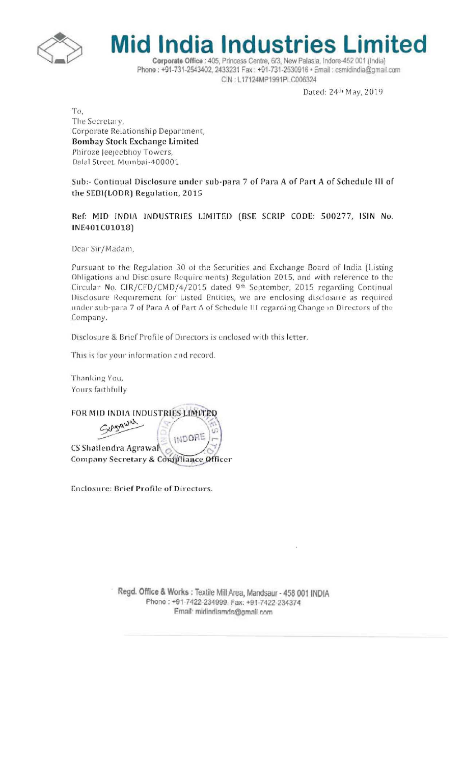



Corporate Office : 405, Princess Centre, 6/3, New Palasia, Indore-452 001 (India) Phone: +91-731-2543402, 2433231 Fax: +91-731-2530916 · Email: csmidindia@gmail.com CIN: L17124MP1991PLC006324

Dated: 24th May, 2019

To, The Secretary, Corporate Relationship Department, Bombay Stock Exchange Limited Phiroze Jeejeebhoy Towers, Dalal Street, Mumbai-400001

Sub:- Continual Disclosure under sub-para 7 of Para A of Part A of Schedule III of the SEBI(LODR) Regulation, 2015

Ref: MID INDIA INDUSTRIES LIMITED (BSE SCRIP CODE: 500277, ISIN No. INE401C01018)

Dear Sir/Madam,

Pursuant to the Regulation 30 of the Securities and Exchange Board of India (Listing Obligations and Disclosure Requirements) Regulation 2015, and with reference to the Circular No. CIR/CFD/CMD/4/2015 dated 9th September, 2015 regarding Continual Disclosure Requirement for Listed Entities, we are enclosing disclosure as required under sub-para 7 of Para A of Part A of Schedule III regarding Change in Directors of the Company.

Disclosure & Brief Profile of Directors is enclosed with this letter.

This is for your information and record.

Thanking You, Yours faithfully

FOR MID INDIA INDUSTRIES LIMITED charawal

INDOR CS Shailendra Agrawa Company Secretary & Compliance Officer

Enclosure: Brief Profile of Directors.

Regd. Office & Works : Textile Mill Area, Mandsaur - 458 001 INDIA Phone: +91-7422-234999. Fax: +91-7422-234374 Email: midindiamds@gmail.com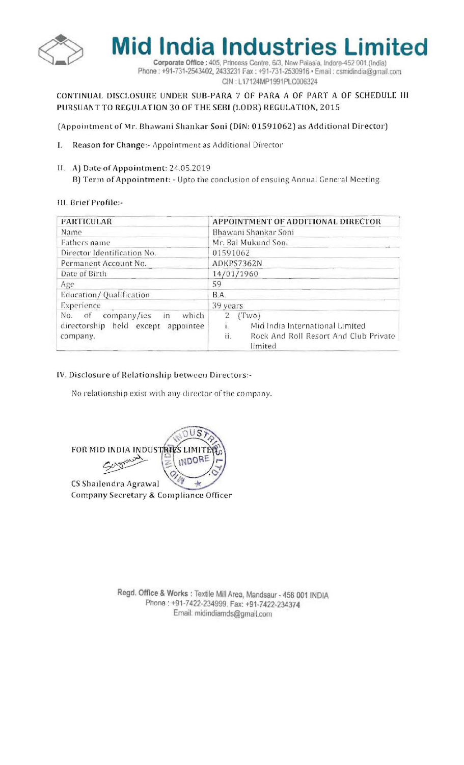

**Mid India Industries Limited** 

Corporate Office : 405, Princess Centre, 6/3, New Palasia, Indore-452 001 (India) Phone: +91-731-2543402, 2433231 Fax: +91-731-2530916 · Email: csmidindia@gmail.com CIN: L17124MP1991PLC006324

## CONTINUAL DISCLOSURE UNDER SUB-PARA 7 OF PARA A OF PART A OF SCHEDULE III PURSUANT TO REGULATION 30 OF THE SEBI (LODR) REGULATION, 2015

(Appointment of Mr. Bhawani Shankar Soni (DIN: 01591062) as Additional Director)

- Reason for Change:- Appointment as Additional Director I.
- II. A) Date of Appointment: 24.05.2019 B) Term of Appointment: - Upto the conclusion of ensuing Annual General Meeting.

## III. Brief Profile:-

| <b>PARTICULAR</b>                                                                      | APPOINTMENT OF ADDITIONAL DIRECTOR                                                                  |
|----------------------------------------------------------------------------------------|-----------------------------------------------------------------------------------------------------|
| Name                                                                                   | Bhawani Shankar Soni                                                                                |
| Fathers name                                                                           | Mr. Bal Mukund Soni                                                                                 |
| Director Identification No.                                                            | 01591062                                                                                            |
| Permanent Account No.                                                                  | ADKPS7362N                                                                                          |
| Date of Birth                                                                          | 14/01/1960                                                                                          |
| Age                                                                                    | 59                                                                                                  |
| Education/Qualification                                                                | B.A.                                                                                                |
| Experience                                                                             | 39 years                                                                                            |
| company/ies<br>No. of<br>which<br>in<br>directorship held except appointee<br>company. | (Two)<br>Mid India International Limited<br>ii.<br>Rock And Roll Resort And Club Private<br>limited |

## IV. Disclosure of Relationship between Directors:-

No relationship exist with any director of the company.

FOR MID INDIA INDUSTRIES LIMITE Sergravent INDORE  $\mathbb Z$ <sup>OI W</sup> CS Shailendra Agrawal  $\frac{1}{2}$ Company Secretary & Compliance Officer

Regd. Office & Works : Textile Mill Area, Mandsaur - 458 001 INDIA Phone: +91-7422-234999. Fax: +91-7422-234374 Email: midindiamds@gmail.com